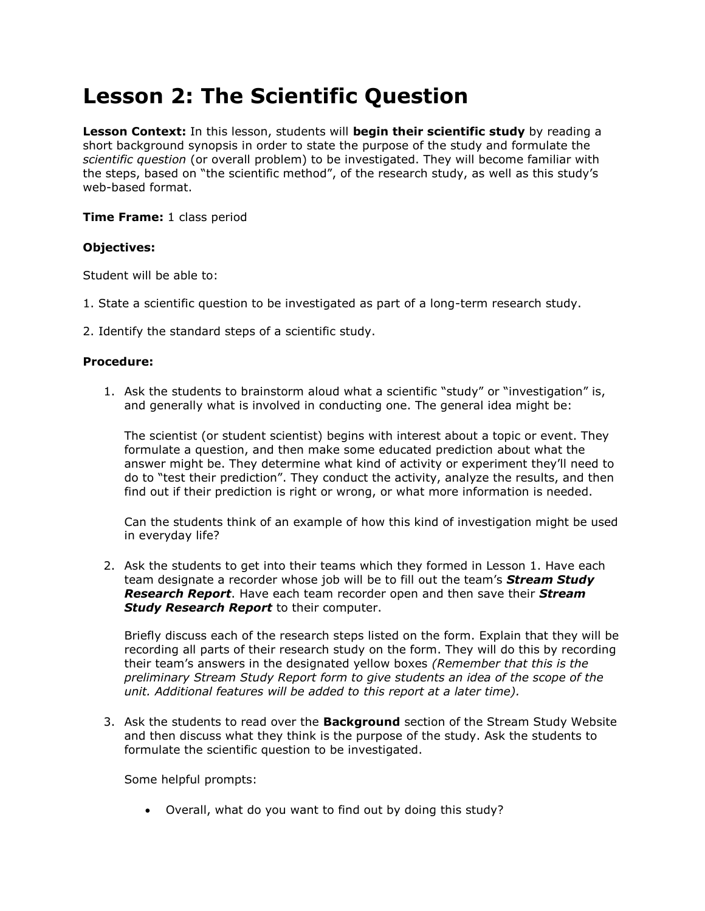# **Lesson 2: The Scientific Question**

**Lesson Context:** In this lesson, students will **begin their scientific study** by reading a short background synopsis in order to state the purpose of the study and formulate the *scientific question* (or overall problem) to be investigated. They will become familiar with the steps, based on "the scientific method", of the research study, as well as this study"s web-based format.

## **Time Frame:** 1 class period

## **Objectives:**

Student will be able to:

- 1. State a scientific question to be investigated as part of a long-term research study.
- 2. Identify the standard steps of a scientific study.

#### **Procedure:**

1. Ask the students to brainstorm aloud what a scientific "study" or "investigation" is, and generally what is involved in conducting one. The general idea might be:

The scientist (or student scientist) begins with interest about a topic or event. They formulate a question, and then make some educated prediction about what the answer might be. They determine what kind of activity or experiment they"ll need to do to "test their prediction". They conduct the activity, analyze the results, and then find out if their prediction is right or wrong, or what more information is needed.

Can the students think of an example of how this kind of investigation might be used in everyday life?

2. Ask the students to get into their teams which they formed in Lesson 1. Have each team designate a recorder whose job will be to fill out the team"s *Stream Study Research Report*. Have each team recorder open and then save their *Stream*  **Study Research Report** to their computer.

Briefly discuss each of the research steps listed on the form. Explain that they will be recording all parts of their research study on the form. They will do this by recording their team"s answers in the designated yellow boxes *(Remember that this is the preliminary Stream Study Report form to give students an idea of the scope of the unit. Additional features will be added to this report at a later time).*

3. Ask the students to read over the **Background** section of the Stream Study Website and then discuss what they think is the purpose of the study. Ask the students to formulate the scientific question to be investigated.

Some helpful prompts:

Overall, what do you want to find out by doing this study?